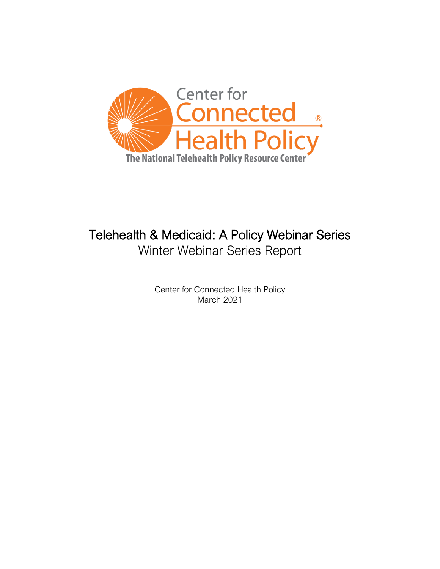

# Telehealth & Medicaid: A Policy Webinar Series Winter Webinar Series Report

Center for Connected Health Policy March 2021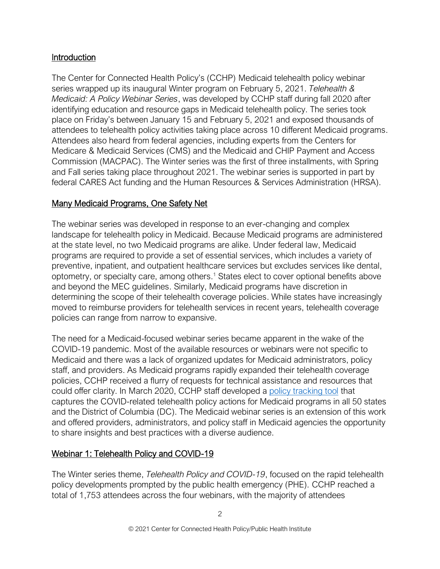# **Introduction**

The Center for Connected Health Policy's (CCHP) Medicaid telehealth policy webinar series wrapped up its inaugural Winter program on February 5, 2021. *Telehealth & Medicaid: A Policy Webinar Series*, was developed by CCHP staff during fall 2020 after identifying education and resource gaps in Medicaid telehealth policy. The series took place on Friday's between January 15 and February 5, 2021 and exposed thousands of attendees to telehealth policy activities taking place across 10 different Medicaid programs. Attendees also heard from federal agencies, including experts from the Centers for Medicare & Medicaid Services (CMS) and the Medicaid and CHIP Payment and Access Commission (MACPAC). The Winter series was the first of three installments, with Spring and Fall series taking place throughout 2021. The webinar series is supported in part by federal CARES Act funding and the Human Resources & Services Administration (HRSA).

# Many Medicaid Programs, One Safety Net

The webinar series was developed in response to an ever-changing and complex landscape for telehealth policy in Medicaid. Because Medicaid programs are administered at the state level, no two Medicaid programs are alike. Under federal law, Medicaid programs are required to provide a set of essential services, which includes a variety of preventive, inpatient, and outpatient healthcare services but excludes services like dental, optometry, or specialty care, among others. <sup>1</sup> States elect to cover optional benefits above and beyond the MEC guidelines. Similarly, Medicaid programs have discretion in determining the scope of their telehealth coverage policies. While states have increasingly moved to reimburse providers for telehealth services in recent years, telehealth coverage policies can range from narrow to expansive.

The need for a Medicaid-focused webinar series became apparent in the wake of the COVID-19 pandemic. Most of the available resources or webinars were not specific to Medicaid and there was a lack of organized updates for Medicaid administrators, policy staff, and providers. As Medicaid programs rapidly expanded their telehealth coverage policies, CCHP received a flurry of requests for technical assistance and resources that could offer clarity. In March 2020, CCHP staff developed a [policy tracking tool](https://www.cchpca.org/covid-19-related-state-actions) that captures the COVID-related telehealth policy actions for Medicaid programs in all 50 states and the District of Columbia (DC). The Medicaid webinar series is an extension of this work and offered providers, administrators, and policy staff in Medicaid agencies the opportunity to share insights and best practices with a diverse audience.

# Webinar 1: Telehealth Policy and COVID-19

The Winter series theme, *Telehealth Policy and COVID-19*, focused on the rapid telehealth policy developments prompted by the public health emergency (PHE). CCHP reached a total of 1,753 attendees across the four webinars, with the majority of attendees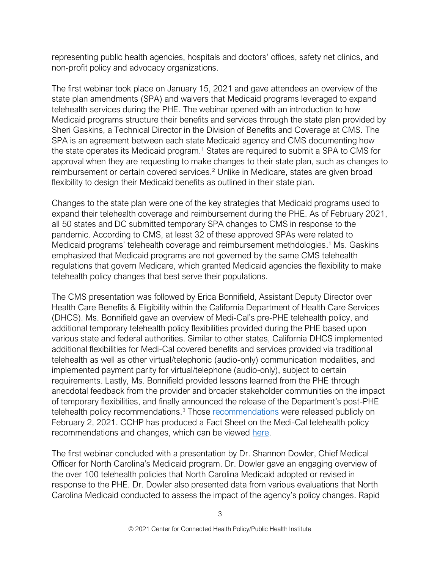representing public health agencies, hospitals and doctors' offices, safety net clinics, and non-profit policy and advocacy organizations.

The first webinar took place on January 15, 2021 and gave attendees an overview of the state plan amendments (SPA) and waivers that Medicaid programs leveraged to expand telehealth services during the PHE. The webinar opened with an introduction to how Medicaid programs structure their benefits and services through the state plan provided by Sheri Gaskins, a Technical Director in the Division of Benefits and Coverage at CMS. The SPA is an agreement between each state Medicaid agency and CMS documenting how the state operates its Medicaid program.<sup>1</sup> States are required to submit a SPA to CMS for approval when they are requesting to make changes to their state plan, such as changes to reimbursement or certain covered services.<sup>2</sup> Unlike in Medicare, states are given broad flexibility to design their Medicaid benefits as outlined in their state plan.

Changes to the state plan were one of the key strategies that Medicaid programs used to expand their telehealth coverage and reimbursement during the PHE. As of February 2021, all 50 states and DC submitted temporary SPA changes to CMS in response to the pandemic. According to CMS, at least 32 of these approved SPAs were related to Medicaid programs' telehealth coverage and reimbursement methdologies. <sup>1</sup> Ms. Gaskins emphasized that Medicaid programs are not governed by the same CMS telehealth regulations that govern Medicare, which granted Medicaid agencies the flexibility to make telehealth policy changes that best serve their populations.

The CMS presentation was followed by Erica Bonnifield, Assistant Deputy Director over Health Care Benefits & Eligibility within the California Department of Health Care Services (DHCS). Ms. Bonnifield gave an overview of Medi-Cal's pre-PHE telehealth policy, and additional temporary telehealth policy flexibilities provided during the PHE based upon various state and federal authorities. Similar to other states, California DHCS implemented additional flexibilities for Medi-Cal covered benefits and services provided via traditional telehealth as well as other virtual/telephonic (audio-only) communication modalities, and implemented payment parity for virtual/telephone (audio-only), subject to certain requirements. Lastly, Ms. Bonnifield provided lessons learned from the PHE through anecdotal feedback from the provider and broader stakeholder communities on the impact of temporary flexibilities, and finally announced the release of the Department's post-PHE telehealth policy [recommendations](https://www.dhcs.ca.gov/services/medi-cal/Documents/DHCS-Telehealth-Policy-Proposal-2-1-21.pdf?inf_contact_key=ce71713a3cd88c969b4d2a9a10960f30).<sup>3</sup> Those recommendations were released publicly on February 2, 2021. CCHP has produced a Fact Sheet on the Medi-Cal telehealth policy recommendations and changes, which can be viewed [here.](https://www.cchpca.org/sites/default/files/2021-02/DHCS%20Telehealth%20Proposal%20Fact%20Sheet3%5B2%5D.pdf)

The first webinar concluded with a presentation by Dr. Shannon Dowler, Chief Medical Officer for North Carolina's Medicaid program. Dr. Dowler gave an engaging overview of the over 100 telehealth policies that North Carolina Medicaid adopted or revised in response to the PHE. Dr. Dowler also presented data from various evaluations that North Carolina Medicaid conducted to assess the impact of the agency's policy changes. Rapid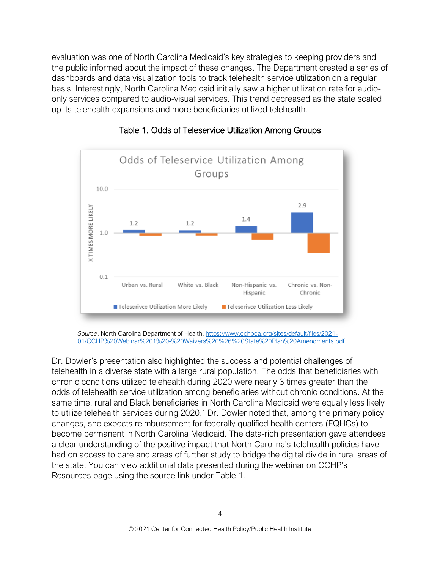evaluation was one of North Carolina Medicaid's key strategies to keeping providers and the public informed about the impact of these changes. The Department created a series of dashboards and data visualization tools to track telehealth service utilization on a regular basis. Interestingly, North Carolina Medicaid initially saw a higher utilization rate for audioonly services compared to audio-visual services. This trend decreased as the state scaled up its telehealth expansions and more beneficiaries utilized telehealth.





*Source*. North Carolina Department of Health[. https://www.cchpca.org/sites/default/files/2021-](https://www.cchpca.org/sites/default/files/2021-01/CCHP%20Webinar%201%20-%20Waivers%20%26%20State%20Plan%20Amendments.pdf) [01/CCHP%20Webinar%201%20-%20Waivers%20%26%20State%20Plan%20Amendments.pdf](https://www.cchpca.org/sites/default/files/2021-01/CCHP%20Webinar%201%20-%20Waivers%20%26%20State%20Plan%20Amendments.pdf)

Dr. Dowler's presentation also highlighted the success and potential challenges of telehealth in a diverse state with a large rural population. The odds that beneficiaries with chronic conditions utilized telehealth during 2020 were nearly 3 times greater than the odds of telehealth service utilization among beneficiaries without chronic conditions. At the same time, rural and Black beneficiaries in North Carolina Medicaid were equally less likely to utilize telehealth services during 2020.<sup>4</sup> Dr. Dowler noted that, among the primary policy changes, she expects reimbursement for federally qualified health centers (FQHCs) to become permanent in North Carolina Medicaid. The data-rich presentation gave attendees a clear understanding of the positive impact that North Carolina's telehealth policies have had on access to care and areas of further study to bridge the digital divide in rural areas of the state. You can view additional data presented during the webinar on CCHP's Resources page using the source link under Table 1.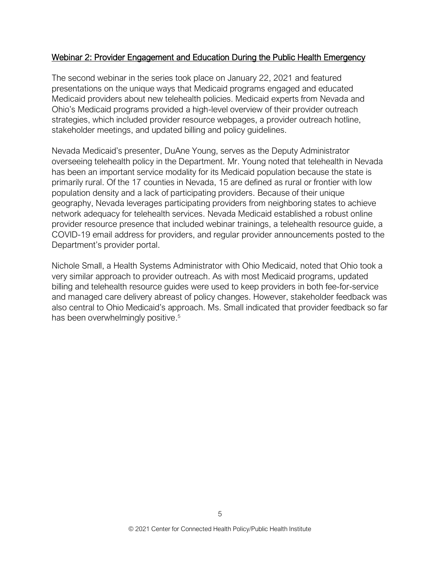#### Webinar 2: Provider Engagement and Education During the Public Health Emergency

The second webinar in the series took place on January 22, 2021 and featured presentations on the unique ways that Medicaid programs engaged and educated Medicaid providers about new telehealth policies. Medicaid experts from Nevada and Ohio's Medicaid programs provided a high-level overview of their provider outreach strategies, which included provider resource webpages, a provider outreach hotline, stakeholder meetings, and updated billing and policy guidelines.

Nevada Medicaid's presenter, DuAne Young, serves as the Deputy Administrator overseeing telehealth policy in the Department. Mr. Young noted that telehealth in Nevada has been an important service modality for its Medicaid population because the state is primarily rural. Of the 17 counties in Nevada, 15 are defined as rural or frontier with low population density and a lack of participating providers. Because of their unique geography, Nevada leverages participating providers from neighboring states to achieve network adequacy for telehealth services. Nevada Medicaid established a robust online provider resource presence that included webinar trainings, a telehealth resource guide, a COVID-19 email address for providers, and regular provider announcements posted to the Department's provider portal.

Nichole Small, a Health Systems Administrator with Ohio Medicaid, noted that Ohio took a very similar approach to provider outreach. As with most Medicaid programs, updated billing and telehealth resource guides were used to keep providers in both fee-for-service and managed care delivery abreast of policy changes. However, stakeholder feedback was also central to Ohio Medicaid's approach. Ms. Small indicated that provider feedback so far has been overwhelmingly positive.<sup>5</sup>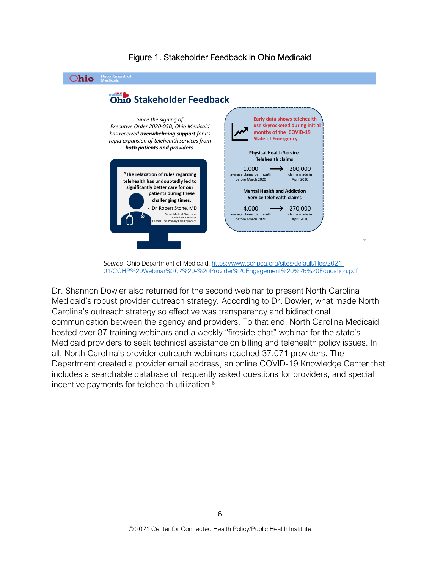

Figure 1. Stakeholder Feedback in Ohio Medicaid

*Source*. Ohio Department of Medicaid. [https://www.cchpca.org/sites/default/files/2021-](https://www.cchpca.org/sites/default/files/2021-01/CCHP%20Webinar%202%20-%20Provider%20Engagement%20%26%20Education.pdf) [01/CCHP%20Webinar%202%20-%20Provider%20Engagement%20%26%20Education.pdf](https://www.cchpca.org/sites/default/files/2021-01/CCHP%20Webinar%202%20-%20Provider%20Engagement%20%26%20Education.pdf)

Dr. Shannon Dowler also returned for the second webinar to present North Carolina Medicaid's robust provider outreach strategy. According to Dr. Dowler, what made North Carolina's outreach strategy so effective was transparency and bidirectional communication between the agency and providers. To that end, North Carolina Medicaid hosted over 87 training webinars and a weekly "fireside chat" webinar for the state's Medicaid providers to seek technical assistance on billing and telehealth policy issues. In all, North Carolina's provider outreach webinars reached 37,071 providers. The Department created a provider email address, an online COVID-19 Knowledge Center that includes a searchable database of frequently asked questions for providers, and special incentive payments for telehealth utilization.<sup>6</sup>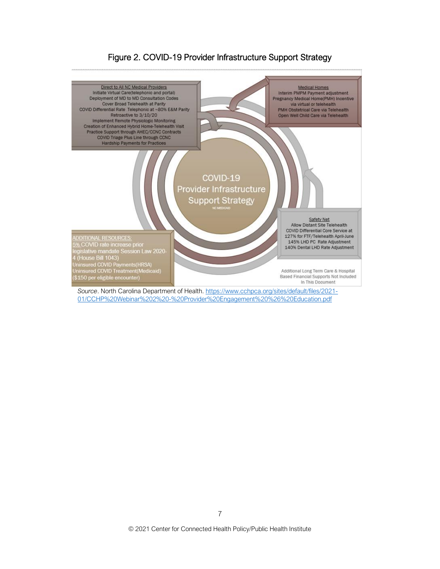#### Direct to All NC Medical Providers **Medical Homes** Initiate Virtual Care(telephonic and portal) Interim PMPM Payment adjustment Deployment of MD to MD Consultation Codes Pregnancy Medical Home(PMH) Incentive Cover Broad Telehealth at Parity via virtual or telehealth COVID Differential Rate Telephonic at ~80% E&M Parity PMH Obstetrical Care via Telehealth Retroactive to 3/10/20 Open Well Child Care via Telehealth Implement Remote Physiologic Monitoring Creation of Enhanced Hybrid Home-Telehealth Visit<br>Practice Support through AHEC/CCNC Contracts COVID Triage Plus Line through CCNC<br>Hardship Payments for Practices COVID-19 Provider Infrastructure **Support Strategy** Safety Net Allow Distant Site Telehealth COVID Differential Core Service at 127% for FTF/Telehealth April-June<br>145% LHD PC Rate Adjustment DDITIONAL RESOURCES: ADDITIONAL RESOURCES<br>5% COVID rate increase prior<br>legislative mandate Session Law 2020-<br>4 (House Bill 1043)<br>Uninsured COVID Treatment(Medicaid)<br>Uninsured COVID Treatment(Medicaid) 140% Dental LHD Rate Adjustment Additional Long Term Care & Hospital Based Financial Supports Not Included \$150 per eligible encounter) In This Document

## Figure 2. COVID-19 Provider Infrastructure Support Strategy

Source. North Carolina Department of Health. [https://www.cchpca.org/sites/default/files/2021-](https://www.cchpca.org/sites/default/files/2021-01/CCHP%20Webinar%202%20-%20Provider%20Engagement%20%26%20Education.pdf) [01/CCHP%20Webinar%202%20-%20Provider%20Engagement%20%26%20Education.pdf](https://www.cchpca.org/sites/default/files/2021-01/CCHP%20Webinar%202%20-%20Provider%20Engagement%20%26%20Education.pdf)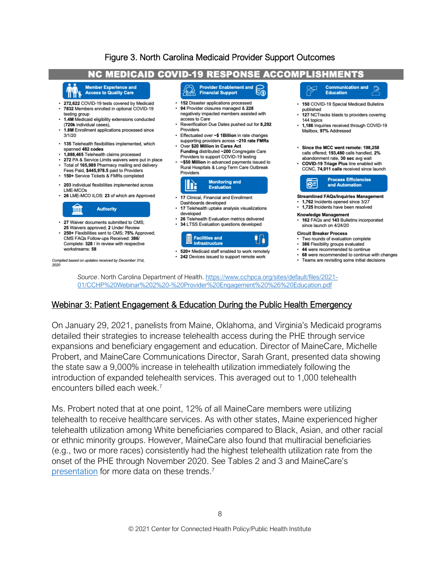# Figure 3. North Carolina Medicaid Provider Support Outcomes



#### Webinar 3: Patient Engagement & Education During the Public Health Emergency

[01/CCHP%20Webinar%202%20-%20Provider%20Engagement%20%26%20Education.pdf](https://www.cchpca.org/sites/default/files/2021-01/CCHP%20Webinar%202%20-%20Provider%20Engagement%20%26%20Education.pdf)

On January 29, 2021, panelists from Maine, Oklahoma, and Virginia's Medicaid programs detailed their strategies to increase telehealth access during the PHE through service expansions and beneficiary engagement and education. Director of MaineCare, Michelle Probert, and MaineCare Communications Director, Sarah Grant, presented data showing the state saw a 9,000% increase in telehealth utilization immediately following the introduction of expanded telehealth services. This averaged out to 1,000 telehealth encounters billed each week.<sup>7</sup>

Ms. Probert noted that at one point, 12% of all MaineCare members were utilizing telehealth to receive healthcare services. As with other states, Maine experienced higher telehealth utilization among White beneficiaries compared to Black, Asian, and other racial or ethnic minority groups. However, MaineCare also found that multiracial beneficiaries (e.g., two or more races) consistently had the highest telehealth utilization rate from the onset of the PHE through November 2020. See Tables 2 and 3 and MaineCare's [presentation](https://www.cchpca.org/sites/default/files/2021-01/Webinar%203_Patient%20Engage-FINAL.pdf) for more data on these trends.<sup>7</sup>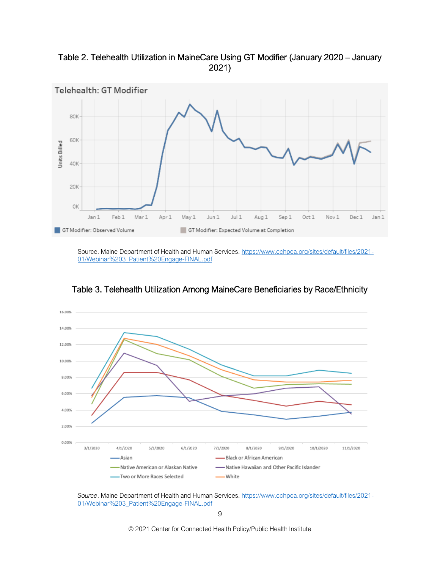Table 2. Telehealth Utilization in MaineCare Using GT Modifier (January 2020 – January 2021)



Source. Maine Department of Health and Human Services. [https://www.cchpca.org/sites/default/files/2021-](https://www.cchpca.org/sites/default/files/2021-01/Webinar%203_Patient%20Engage-FINAL.pdf) [01/Webinar%203\\_Patient%20Engage-FINAL.pdf](https://www.cchpca.org/sites/default/files/2021-01/Webinar%203_Patient%20Engage-FINAL.pdf)



Table 3. Telehealth Utilization Among MaineCare Beneficiaries by Race/Ethnicity

*Source*. Maine Department of Health and Human Services. [https://www.cchpca.org/sites/default/files/2021-](https://www.cchpca.org/sites/default/files/2021-01/Webinar%203_Patient%20Engage-FINAL.pdf) [01/Webinar%203\\_Patient%20Engage-FINAL.pdf](https://www.cchpca.org/sites/default/files/2021-01/Webinar%203_Patient%20Engage-FINAL.pdf)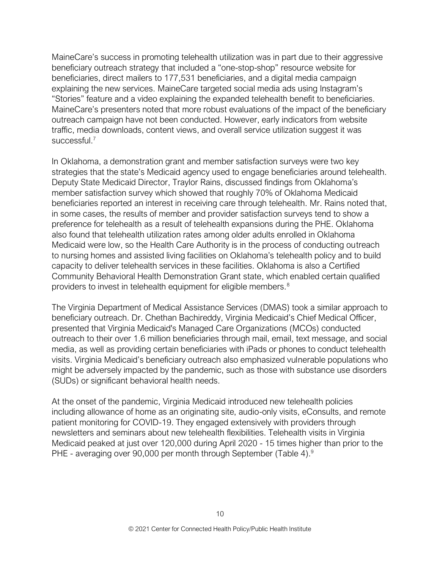MaineCare's success in promoting telehealth utilization was in part due to their aggressive beneficiary outreach strategy that included a "one-stop-shop" resource website for beneficiaries, direct mailers to 177,531 beneficiaries, and a digital media campaign explaining the new services. MaineCare targeted social media ads using Instagram's "Stories" feature and a video explaining the expanded telehealth benefit to beneficiaries. MaineCare's presenters noted that more robust evaluations of the impact of the beneficiary outreach campaign have not been conducted. However, early indicators from website traffic, media downloads, content views, and overall service utilization suggest it was successful<sup>7</sup>

In Oklahoma, a demonstration grant and member satisfaction surveys were two key strategies that the state's Medicaid agency used to engage beneficiaries around telehealth. Deputy State Medicaid Director, Traylor Rains, discussed findings from Oklahoma's member satisfaction survey which showed that roughly 70% of Oklahoma Medicaid beneficiaries reported an interest in receiving care through telehealth. Mr. Rains noted that, in some cases, the results of member and provider satisfaction surveys tend to show a preference for telehealth as a result of telehealth expansions during the PHE. Oklahoma also found that telehealth utilization rates among older adults enrolled in Oklahoma Medicaid were low, so the Health Care Authority is in the process of conducting outreach to nursing homes and assisted living facilities on Oklahoma's telehealth policy and to build capacity to deliver telehealth services in these facilities. Oklahoma is also a Certified Community Behavioral Health Demonstration Grant state, which enabled certain qualified providers to invest in telehealth equipment for eligible members.<sup>8</sup>

The Virginia Department of Medical Assistance Services (DMAS) took a similar approach to beneficiary outreach. Dr. Chethan Bachireddy, Virginia Medicaid's Chief Medical Officer, presented that Virginia Medicaid's Managed Care Organizations (MCOs) conducted outreach to their over 1.6 million beneficiaries through mail, email, text message, and social media, as well as providing certain beneficiaries with iPads or phones to conduct telehealth visits. Virginia Medicaid's beneficiary outreach also emphasized vulnerable populations who might be adversely impacted by the pandemic, such as those with substance use disorders (SUDs) or significant behavioral health needs.

At the onset of the pandemic, Virginia Medicaid introduced new telehealth policies including allowance of home as an originating site, audio-only visits, eConsults, and remote patient monitoring for COVID-19. They engaged extensively with providers through newsletters and seminars about new telehealth flexibilities. Telehealth visits in Virginia Medicaid peaked at just over 120,000 during April 2020 - 15 times higher than prior to the PHE - averaging over 90,000 per month through September (Table 4).<sup>9</sup>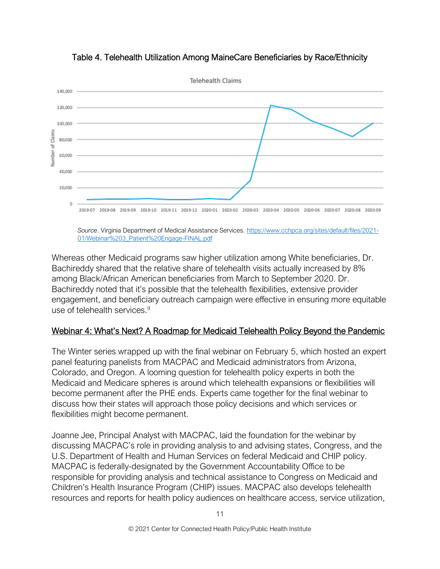

Table 4. Telehealth Utilization Among MaineCare Beneficiaries by Race/Ethnicity

*Source*. Virginia Department of Medical Assistance Services. [https://www.cchpca.org/sites/default/files/2021-](https://www.cchpca.org/sites/default/files/2021-01/Webinar%203_Patient%20Engage-FINAL.pdf) [01/Webinar%203\\_Patient%20Engage-FINAL.pdf](https://www.cchpca.org/sites/default/files/2021-01/Webinar%203_Patient%20Engage-FINAL.pdf)

Whereas other Medicaid programs saw higher utilization among White beneficiaries, Dr. Bachireddy shared that the relative share of telehealth visits actually increased by 8% among Black/African American beneficiaries from March to September 2020. Dr. Bachireddy noted that it's possible that the telehealth flexibilities, extensive provider engagement, and beneficiary outreach campaign were effective in ensuring more equitable use of telehealth services.<sup>9</sup>

#### Webinar 4: What's Next? A Roadmap for Medicaid Telehealth Policy Beyond the Pandemic

The Winter series wrapped up with the final webinar on February 5, which hosted an expert panel featuring panelists from MACPAC and Medicaid administrators from Arizona, Colorado, and Oregon. A looming question for telehealth policy experts in both the Medicaid and Medicare spheres is around which telehealth expansions or flexibilities will become permanent after the PHE ends. Experts came together for the final webinar to discuss how their states will approach those policy decisions and which services or flexibilities might become permanent.

Joanne Jee, Principal Analyst with MACPAC, laid the foundation for the webinar by discussing MACPAC's role in providing analysis to and advising states, Congress, and the U.S. Department of Health and Human Services on federal Medicaid and CHIP policy. MACPAC is federally-designated by the Government Accountability Office to be responsible for providing analysis and technical assistance to Congress on Medicaid and Children's Health Insurance Program (CHIP) issues. MACPAC also develops telehealth resources and reports for health policy audiences on healthcare access, service utilization,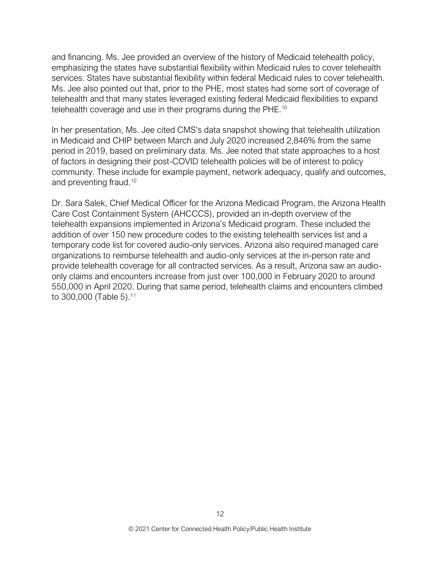and financing. Ms. Jee provided an overview of the history of Medicaid telehealth policy, emphasizing the states have substantial flexibility within Medicaid rules to cover telehealth services. States have substantial flexibility within federal Medicaid rules to cover telehealth. Ms. Jee also pointed out that, prior to the PHE, most states had some sort of coverage of telehealth and that many states leveraged existing federal Medicaid flexibilities to expand telehealth coverage and use in their programs during the PHE.<sup>10</sup>

In her presentation, Ms. Jee cited CMS's data snapshot showing that telehealth utilization in Medicaid and CHIP between March and July 2020 increased 2,846% from the same period in 2019, based on preliminary data. Ms. Jee noted that state approaches to a host of factors in designing their post-COVID telehealth policies will be of interest to policy community. These include for example payment, network adequacy, qualify and outcomes, and preventing fraud.<sup>10</sup>

Dr. Sara Salek, Chief Medical Officer for the Arizona Medicaid Program, the Arizona Health Care Cost Containment System (AHCCCS), provided an in-depth overview of the telehealth expansions implemented in Arizona's Medicaid program. These included the addition of over 150 new procedure codes to the existing telehealth services list and a temporary code list for covered audio-only services. Arizona also required managed care organizations to reimburse telehealth and audio-only services at the in-person rate and provide telehealth coverage for all contracted services. As a result, Arizona saw an audioonly claims and encounters increase from just over 100,000 in February 2020 to around 550,000 in April 2020. During that same period, telehealth claims and encounters climbed to 300,000 (Table 5). 11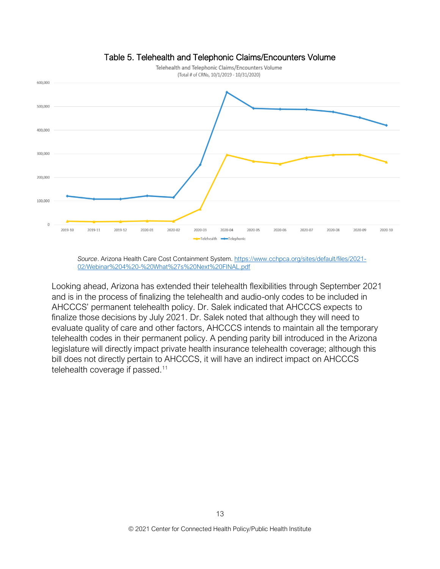

#### Table 5. Telehealth and Telephonic Claims/Encounters Volume

*Source*. Arizona Health Care Cost Containment System. [https://www.cchpca.org/sites/default/files/2021-](https://www.cchpca.org/sites/default/files/2021-02/Webinar%204%20-%20What%27s%20Next%20FINAL.pdf) [02/Webinar%204%20-%20What%27s%20Next%20FINAL.pdf](https://www.cchpca.org/sites/default/files/2021-02/Webinar%204%20-%20What%27s%20Next%20FINAL.pdf)

Looking ahead, Arizona has extended their telehealth flexibilities through September 2021 and is in the process of finalizing the telehealth and audio-only codes to be included in AHCCCS' permanent telehealth policy. Dr. Salek indicated that AHCCCS expects to finalize those decisions by July 2021. Dr. Salek noted that although they will need to evaluate quality of care and other factors, AHCCCS intends to maintain all the temporary telehealth codes in their permanent policy. A pending parity bill introduced in the Arizona legislature will directly impact private health insurance telehealth coverage; although this bill does not directly pertain to AHCCCS, it will have an indirect impact on AHCCCS telehealth coverage if passed.<sup>11</sup>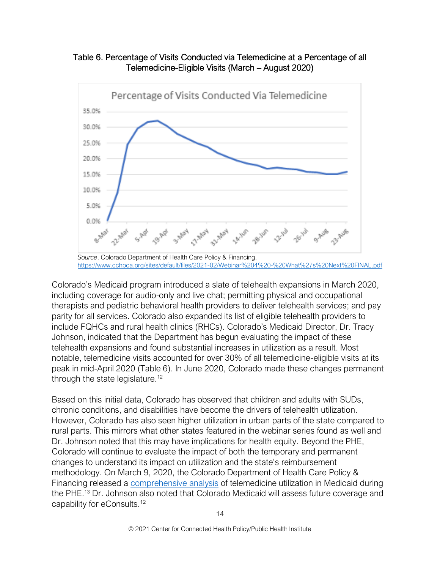



*Source*. Colorado Department of Health Care Policy & Financing. <https://www.cchpca.org/sites/default/files/2021-02/Webinar%204%20-%20What%27s%20Next%20FINAL.pdf>

Colorado's Medicaid program introduced a slate of telehealth expansions in March 2020, including coverage for audio-only and live chat; permitting physical and occupational therapists and pediatric behavioral health providers to deliver telehealth services; and pay parity for all services. Colorado also expanded its list of eligible telehealth providers to include FQHCs and rural health clinics (RHCs). Colorado's Medicaid Director, Dr. Tracy Johnson, indicated that the Department has begun evaluating the impact of these telehealth expansions and found substantial increases in utilization as a result. Most notable, telemedicine visits accounted for over 30% of all telemedicine-eligible visits at its peak in mid-April 2020 (Table 6). In June 2020, Colorado made these changes permanent through the state legislature.<sup>12</sup>

Based on this initial data, Colorado has observed that children and adults with SUDs, chronic conditions, and disabilities have become the drivers of telehealth utilization. However, Colorado has also seen higher utilization in urban parts of the state compared to rural parts. This mirrors what other states featured in the webinar series found as well and Dr. Johnson noted that this may have implications for health equity. Beyond the PHE, Colorado will continue to evaluate the impact of both the temporary and permanent changes to understand its impact on utilization and the state's reimbursement methodology. On March 9, 2020, the Colorado Department of Health Care Policy & Financing released a [comprehensive analysis](https://www.colorado.gov/pacific/sites/default/files/HCPF%20Telemedicine%20Evaluation%20March%208%2C%202021.pdf) of telemedicine utilization in Medicaid during the PHE.<sup>13</sup> Dr. Johnson also noted that Colorado Medicaid will assess future coverage and capability for eConsults.12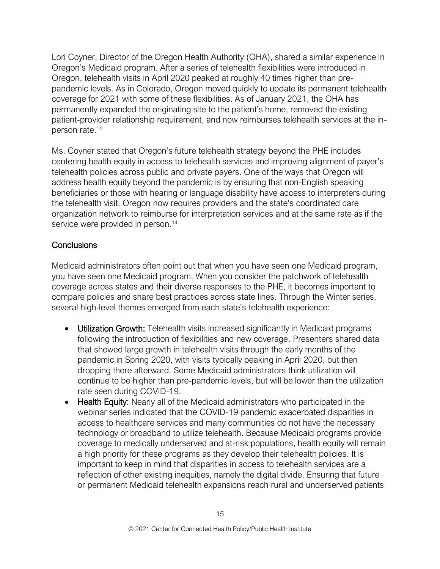Lori Coyner, Director of the Oregon Health Authority (OHA), shared a similar experience in Oregon's Medicaid program. After a series of telehealth flexibilities were introduced in Oregon, telehealth visits in April 2020 peaked at roughly 40 times higher than prepandemic levels. As in Colorado, Oregon moved quickly to update its permanent telehealth coverage for 2021 with some of these flexibilities. As of January 2021, the OHA has permanently expanded the originating site to the patient's home, removed the existing patient-provider relationship requirement, and now reimburses telehealth services at the inperson rate.<sup>14</sup>

Ms. Coyner stated that Oregon's future telehealth strategy beyond the PHE includes centering health equity in access to telehealth services and improving alignment of payer's telehealth policies across public and private payers. One of the ways that Oregon will address health equity beyond the pandemic is by ensuring that non-English speaking beneficiaries or those with hearing or language disability have access to interpreters during the telehealth visit. Oregon now requires providers and the state's coordinated care organization network to reimburse for interpretation services and at the same rate as if the service were provided in person.<sup>14</sup>

# **Conclusions**

Medicaid administrators often point out that when you have seen one Medicaid program, you have seen one Medicaid program. When you consider the patchwork of telehealth coverage across states and their diverse responses to the PHE, it becomes important to compare policies and share best practices across state lines. Through the Winter series, several high-level themes emerged from each state's telehealth experience:

- Utilization Growth: Telehealth visits increased significantly in Medicaid programs following the introduction of flexibilities and new coverage. Presenters shared data that showed large growth in telehealth visits through the early months of the pandemic in Spring 2020, with visits typically peaking in April 2020, but then dropping there afterward. Some Medicaid administrators think utilization will continue to be higher than pre-pandemic levels, but will be lower than the utilization rate seen during COVID-19.
- Health Equity: Nearly all of the Medicaid administrators who participated in the webinar series indicated that the COVID-19 pandemic exacerbated disparities in access to healthcare services and many communities do not have the necessary technology or broadband to utilize telehealth. Because Medicaid programs provide coverage to medically underserved and at-risk populations, health equity will remain a high priority for these programs as they develop their telehealth policies. It is important to keep in mind that disparities in access to telehealth services are a reflection of other existing inequities, namely the digital divide. Ensuring that future or permanent Medicaid telehealth expansions reach rural and underserved patients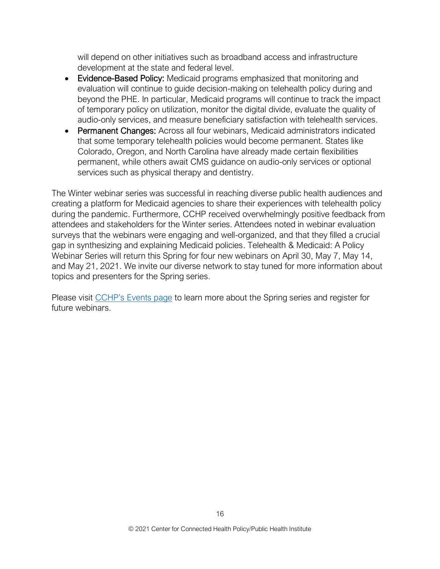will depend on other initiatives such as broadband access and infrastructure development at the state and federal level.

- Evidence-Based Policy: Medicaid programs emphasized that monitoring and evaluation will continue to guide decision-making on telehealth policy during and beyond the PHE. In particular, Medicaid programs will continue to track the impact of temporary policy on utilization, monitor the digital divide, evaluate the quality of audio-only services, and measure beneficiary satisfaction with telehealth services.
- Permanent Changes: Across all four webinars, Medicaid administrators indicated that some temporary telehealth policies would become permanent. States like Colorado, Oregon, and North Carolina have already made certain flexibilities permanent, while others await CMS guidance on audio-only services or optional services such as physical therapy and dentistry.

The Winter webinar series was successful in reaching diverse public health audiences and creating a platform for Medicaid agencies to share their experiences with telehealth policy during the pandemic. Furthermore, CCHP received overwhelmingly positive feedback from attendees and stakeholders for the Winter series. Attendees noted in webinar evaluation surveys that the webinars were engaging and well-organized, and that they filled a crucial gap in synthesizing and explaining Medicaid policies. Telehealth & Medicaid: A Policy Webinar Series will return this Spring for four new webinars on April 30, May 7, May 14, and May 21, 2021. We invite our diverse network to stay tuned for more information about topics and presenters for the Spring series.

Please visit [CCHP's Events page](https://www.cchpca.org/about/events) to learn more about the Spring series and register for future webinars.